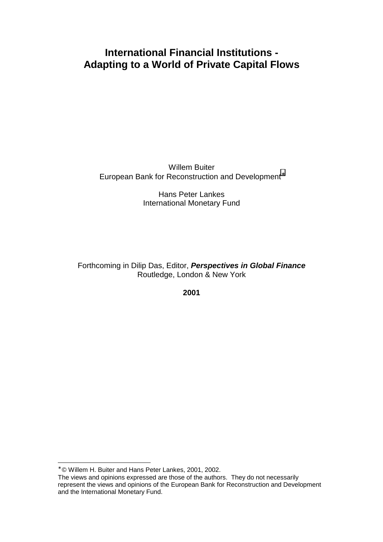# **International Financial Institutions - Adapting to a World of Private Capital Flows**

Willem Buiter European Bank for Reconstruction and Development<sup>®</sup>

> Hans Peter Lankes International Monetary Fund

Forthcoming in Dilip Das, Editor, *Perspectives in Global Finance* Routledge, London & New York

**2001**

<sup>∗</sup> © Willem H. Buiter and Hans Peter Lankes, 2001, 2002.

The views and opinions expressed are those of the authors. They do not necessarily represent the views and opinions of the European Bank for Reconstruction and Development and the International Monetary Fund.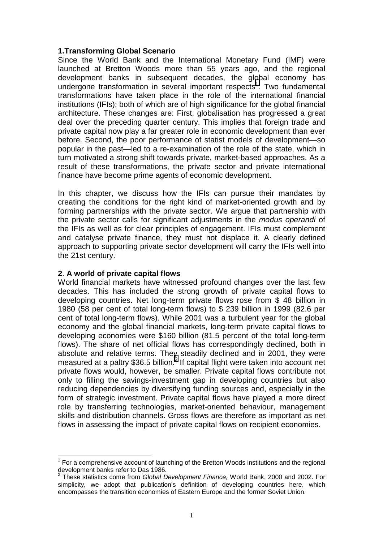## **1.Transforming Global Scenario**

Since the World Bank and the International Monetary Fund (IMF) were launched at Bretton Woods more than 55 years ago, and the regional development banks in subsequent decades, the global economy has undergone transformation in several important respects<sup>1</sup>. Two fundamental transformations have taken place in the role of the international financial institutions (IFIs); both of which are of high significance for the global financial architecture. These changes are: First, globalisation has progressed a great deal over the preceding quarter century. This implies that foreign trade and private capital now play a far greater role in economic development than ever before. Second, the poor performance of statist models of development—so popular in the past—led to a re-examination of the role of the state, which in turn motivated a strong shift towards private, market-based approaches. As a result of these transformations, the private sector and private international finance have become prime agents of economic development.

In this chapter, we discuss how the IFIs can pursue their mandates by creating the conditions for the right kind of market-oriented growth and by forming partnerships with the private sector. We argue that partnership with the private sector calls for significant adjustments in the *modus operandi* of the IFIs as well as for clear principles of engagement. IFIs must complement and catalyse private finance, they must not displace it. A clearly defined approach to supporting private sector development will carry the IFIs well into the 21st century.

# **2**. **A world of private capital flows**

World financial markets have witnessed profound changes over the last few decades. This has included the strong growth of private capital flows to developing countries. Net long-term private flows rose from \$ 48 billion in 1980 (58 per cent of total long-term flows) to \$ 239 billion in 1999 (82.6 per cent of total long-term flows). While 2001 was a turbulent year for the global economy and the global financial markets, long-term private capital flows to developing economies were \$160 billion (81.5 percent of the total long-term flows). The share of net official flows has correspondingly declined, both in absolute and relative terms. They steadily declined and in 2001, they were measured at a paltry \$36.5 billion.<sup>2</sup> If capital flight were taken into account net private flows would, however, be smaller. Private capital flows contribute not only to filling the savings-investment gap in developing countries but also reducing dependencies by diversifying funding sources and, especially in the form of strategic investment. Private capital flows have played a more direct role by transferring technologies, market-oriented behaviour, management skills and distribution channels. Gross flows are therefore as important as net flows in assessing the impact of private capital flows on recipient economies.

 $\overline{a}$  $1$  For a comprehensive account of launching of the Bretton Woods institutions and the regional development banks refer to Das 1986.

<sup>2</sup> These statistics come from *Global Development Finance,* World Bank, 2000 and 2002. For simplicity, we adopt that publication's definition of developing countries here, which encompasses the transition economies of Eastern Europe and the former Soviet Union.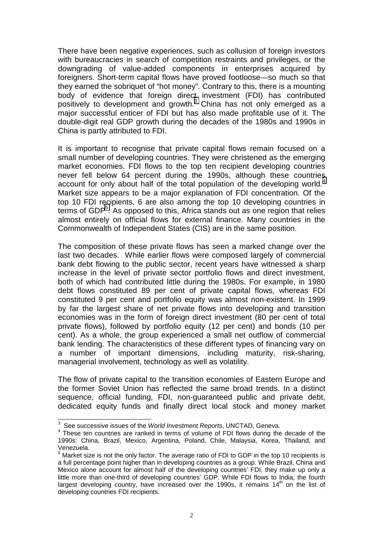There have been negative experiences, such as collusion of foreign investors with bureaucracies in search of competition restraints and privileges, or the downgrading of value-added components in enterprises acquired by foreigners. Short-term capital flows have proved footloose—so much so that they earned the sobriquet of "hot money". Contrary to this, there is a mounting body of evidence that foreign direct investment (FDI) has contributed positively to development and growth.<sup>3</sup> China has not only emerged as a major successful enticer of FDI but has also made profitable use of it. The double-digit real GDP growth during the decades of the 1980s and 1990s in China is partly attributed to FDI.

It is important to recognise that private capital flows remain focused on a small number of developing countries. They were christened as the emerging market economies. FDI flows to the top ten recipient developing countries never fell below 64 percent during the 1990s, although these countries account for only about half of the total population of the developing world.<sup>4</sup> Market size appears to be a major explanation of FDI concentration. Of the top 10 FDI recipients, 6 are also among the top 10 developing countries in terms of GDP<sup>5</sup>. As opposed to this, Africa stands out as one region that relies almost entirely on official flows for external finance. Many countries in the Commonwealth of Independent States (CIS) are in the same position.

The composition of these private flows has seen a marked change over the last two decades. While earlier flows were composed largely of commercial bank debt flowing to the public sector, recent years have witnessed a sharp increase in the level of private sector portfolio flows and direct investment, both of which had contributed little during the 1980s. For example, in 1980 debt flows constituted 89 per cent of private capital flows, whereas FDI constituted 9 per cent and portfolio equity was almost non-existent. In 1999 by far the largest share of net private flows into developing and transition economies was in the form of foreign direct investment (80 per cent of total private flows), followed by portfolio equity (12 per cent) and bonds (10 per cent). As a whole, the group experienced a small net outflow of commercial bank lending. The characteristics of these different types of financing vary on a number of important dimensions, including maturity, risk-sharing, managerial involvement, technology as well as volatility.

The flow of private capital to the transition economies of Eastern Europe and the former Soviet Union has reflected the same broad trends. In a distinct sequence, official funding, FDI, non-guaranteed public and private debt, dedicated equity funds and finally direct local stock and money market

 3 See successive issues of the *World Investment Reports*, UNCTAD, Geneva.

 $4$  These ten countries are ranked in terms of volume of FDI flows during the decade of the 1990s: China, Brazil, Mexico, Argentina, Poland, Chile, Malaysia, Korea, Thailand, and Venezuela.

 $<sup>5</sup>$  Market size is not the only factor. The average ratio of FDI to GDP in the top 10 recipients is</sup> a full percentage point higher than in developing countries as a group. While Brazil, China and Mexico alone account for almost half of the developing countries' FDI, they make up only a little more than one-third of developing countries' GDP. While FDI flows to India, the fourth largest developing country, have increased over the 1990s, it remains  $14<sup>th</sup>$  on the list of developing countries FDI recipients.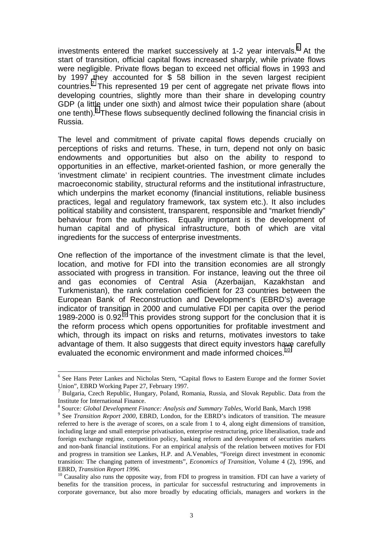investments entered the market successively at 1-2 year intervals. $^6$  At the start of transition, official capital flows increased sharply, while private flows were negligible. Private flows began to exceed net official flows in 1993 and by 1997 they accounted for \$ 58 billion in the seven largest recipient countries.<sup>7</sup> This represented 19 per cent of aggregate net private flows into developing countries, slightly more than their share in developing country GDP (a little under one sixth) and almost twice their population share (about one tenth). <sup>8</sup> These flows subsequently declined following the financial crisis in Russia.

The level and commitment of private capital flows depends crucially on perceptions of risks and returns. These, in turn, depend not only on basic endowments and opportunities but also on the ability to respond to opportunities in an effective, market-oriented fashion, or more generally the 'investment climate' in recipient countries. The investment climate includes macroeconomic stability, structural reforms and the institutional infrastructure, which underpins the market economy (financial institutions, reliable business practices, legal and regulatory framework, tax system etc.). It also includes political stability and consistent, transparent, responsible and "market friendly" behaviour from the authorities. Equally important is the development of human capital and of physical infrastructure, both of which are vital ingredients for the success of enterprise investments.

One reflection of the importance of the investment climate is that the level, location, and motive for FDI into the transition economies are all strongly associated with progress in transition. For instance, leaving out the three oil and gas economies of Central Asia (Azerbaijan, Kazakhstan and Turkmenistan), the rank correlation coefficient for 23 countries between the European Bank of Reconstruction and Development's (EBRD's) average indicator of transition in 2000 and cumulative FDI per capita over the period 1989-2000 is 0.92.<sup>9</sup> This provides strong support for the conclusion that it is the reform process which opens opportunities for profitable investment and which, through its impact on risks and returns, motivates investors to take advantage of them. It also suggests that direct equity investors have carefully evaluated the economic environment and made informed choices.<sup>10</sup>

<sup>&</sup>lt;sup>6</sup> See Hans Peter Lankes and Nicholas Stern, "Capital flows to Eastern Europe and the former Soviet Union", EBRD Working Paper 27, February 1997.

<sup>&</sup>lt;sup>7</sup> Bulgaria, Czech Republic, Hungary, Poland, Romania, Russia, and Slovak Republic. Data from the Institute for International Finance.

<sup>&</sup>lt;sup>8</sup> Source: Global Development Finance: Analysis and Summary Tables, World Bank, March 1998

<sup>&</sup>lt;sup>9</sup> See *Transition Report 2000*, EBRD, London, for the EBRD's indicators of transition. The measure referred to here is the average of scores, on a scale from 1 to 4, along eight dimensions of transition, including large and small enterprise privatisation, enterprise restructuring, price liberalisation, trade and foreign exchange regime, competition policy, banking reform and development of securities markets and non-bank financial institutions. For an empirical analysis of the relation between motives for FDI and progress in transition see Lankes, H.P. and A.Venables, "Foreign direct investment in economic transition: The changing pattern of investments", *Economics of Transition*, Volume 4 (2), 1996, and EBRD, *Transition Report 1996.*

 $10$  Causality also runs the opposite way, from FDI to progress in transition. FDI can have a variety of benefits for the transition process, in particular for successful restructuring and improvements in corporate governance, but also more broadly by educating officials, managers and workers in the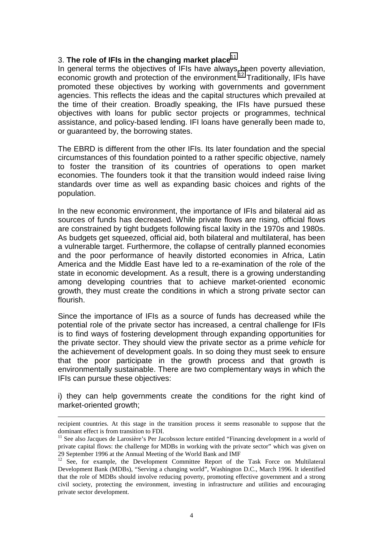## 3. **The role of IFIs in the changing market place**<sup>11</sup>

In general terms the objectives of IFIs have always been poverty alleviation, economic growth and protection of the environment.<sup>12</sup> Traditionally, IFIs have promoted these objectives by working with governments and government agencies. This reflects the ideas and the capital structures which prevailed at the time of their creation. Broadly speaking, the IFIs have pursued these objectives with loans for public sector projects or programmes, technical assistance, and policy-based lending. IFI loans have generally been made to, or guaranteed by, the borrowing states.

The EBRD is different from the other IFIs. Its later foundation and the special circumstances of this foundation pointed to a rather specific objective, namely to foster the transition of its countries of operations to open market economies. The founders took it that the transition would indeed raise living standards over time as well as expanding basic choices and rights of the population.

In the new economic environment, the importance of IFIs and bilateral aid as sources of funds has decreased. While private flows are rising, official flows are constrained by tight budgets following fiscal laxity in the 1970s and 1980s. As budgets get squeezed, official aid, both bilateral and multilateral, has been a vulnerable target. Furthermore, the collapse of centrally planned economies and the poor performance of heavily distorted economies in Africa, Latin America and the Middle East have led to a re-examination of the role of the state in economic development. As a result, there is a growing understanding among developing countries that to achieve market-oriented economic growth, they must create the conditions in which a strong private sector can flourish.

Since the importance of IFIs as a source of funds has decreased while the potential role of the private sector has increased, a central challenge for IFIs is to find ways of fostering development through expanding opportunities for the private sector. They should view the private sector as a prime *vehicle* for the achievement of development goals. In so doing they must seek to ensure that the poor participate in the growth process and that growth is environmentally sustainable. There are two complementary ways in which the IFIs can pursue these objectives:

i) they can help governments create the conditions for the right kind of market-oriented growth;

recipient countries. At this stage in the transition process it seems reasonable to suppose that the dominant effect is from transition to FDI.

 $11$  See also Jacques de Larosière's Per Jacobsson lecture entitled "Financing development in a world of private capital flows: the challenge for MDBs in working with the private sector" which was given on 29 September 1996 at the Annual Meeting of the World Bank and IMF

<sup>&</sup>lt;sup>12</sup> See, for example, the Development Committee Report of the Task Force on Multilateral Development Bank (MDBs), "Serving a changing world", Washington D.C., March 1996. It identified that the role of MDBs should involve reducing poverty, promoting effective government and a strong civil society, protecting the environment, investing in infrastructure and utilities and encouraging private sector development.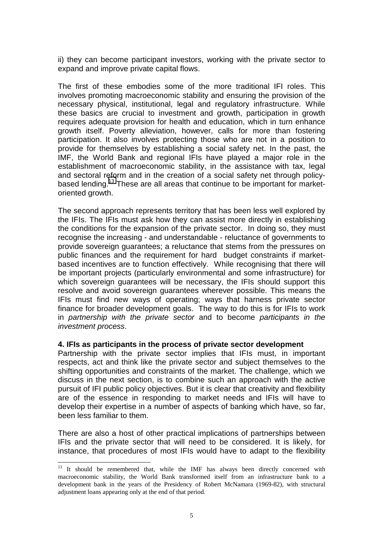ii) they can become participant investors, working with the private sector to expand and improve private capital flows.

The first of these embodies some of the more traditional IFI roles. This involves promoting macroeconomic stability and ensuring the provision of the necessary physical, institutional, legal and regulatory infrastructure. While these basics are crucial to investment and growth, participation in growth requires adequate provision for health and education, which in turn enhance growth itself. Poverty alleviation, however, calls for more than fostering participation. It also involves protecting those who are not in a position to provide for themselves by establishing a social safety net. In the past, the IMF, the World Bank and regional IFIs have played a major role in the establishment of macroeconomic stability, in the assistance with tax, legal and sectoral reform and in the creation of a social safety net through policybased lending.<sup>13</sup> These are all areas that continue to be important for marketoriented growth.

The second approach represents territory that has been less well explored by the IFIs. The IFIs must ask how they can assist more directly in establishing the conditions for the expansion of the private sector. In doing so, they must recognise the increasing - and understandable - reluctance of governments to provide sovereign guarantees; a reluctance that stems from the pressures on public finances and the requirement for hard budget constraints if marketbased incentives are to function effectively. While recognising that there will be important projects (particularly environmental and some infrastructure) for which sovereign guarantees will be necessary, the IFIs should support this resolve and avoid sovereign guarantees wherever possible. This means the IFIs must find new ways of operating; ways that harness private sector finance for broader development goals. The way to do this is for IFIs to work in *partnership with the private sector* and to become *participants in the investment process*.

# **4. IFIs as participants in the process of private sector development**

Partnership with the private sector implies that IFIs must, in important respects, act and think like the private sector and subject themselves to the shifting opportunities and constraints of the market. The challenge, which we discuss in the next section, is to combine such an approach with the active pursuit of IFI public policy objectives. But it is clear that creativity and flexibility are of the essence in responding to market needs and IFIs will have to develop their expertise in a number of aspects of banking which have, so far, been less familiar to them.

There are also a host of other practical implications of partnerships between IFIs and the private sector that will need to be considered. It is likely, for instance, that procedures of most IFIs would have to adapt to the flexibility

 $\overline{\phantom{a}}$ 

<sup>&</sup>lt;sup>13</sup> It should be remembered that, while the IMF has always been directly concerned with macroeconomic stability, the World Bank transformed itself from an infrastructure bank to a development bank in the years of the Presidency of Robert McNamara (1969-82), with structural adjustment loans appearing only at the end of that period.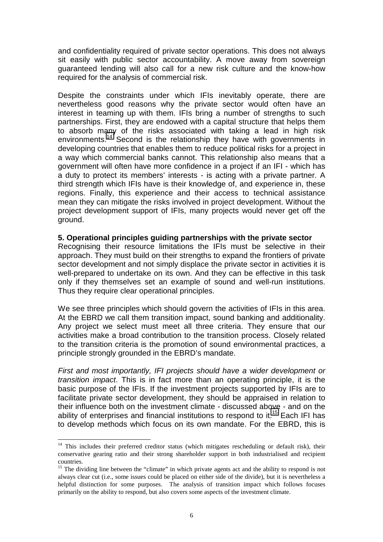and confidentiality required of private sector operations. This does not always sit easily with public sector accountability. A move away from sovereign guaranteed lending will also call for a new risk culture and the know-how required for the analysis of commercial risk.

Despite the constraints under which IFIs inevitably operate, there are nevertheless good reasons why the private sector would often have an interest in teaming up with them. IFIs bring a number of strengths to such partnerships. First, they are endowed with a capital structure that helps them to absorb many of the risks associated with taking a lead in high risk environments.<sup>14</sup> Second is the relationship they have with governments in developing countries that enables them to reduce political risks for a project in a way which commercial banks cannot. This relationship also means that a government will often have more confidence in a project if an IFI - which has a duty to protect its members' interests - is acting with a private partner. A third strength which IFIs have is their knowledge of, and experience in, these regions. Finally, this experience and their access to technical assistance mean they can mitigate the risks involved in project development. Without the project development support of IFIs, many projects would never get off the ground.

#### **5. Operational principles guiding partnerships with the private sector**

Recognising their resource limitations the IFIs must be selective in their approach. They must build on their strengths to expand the frontiers of private sector development and not simply displace the private sector in activities it is well-prepared to undertake on its own. And they can be effective in this task only if they themselves set an example of sound and well-run institutions. Thus they require clear operational principles.

We see three principles which should govern the activities of IFIs in this area. At the EBRD we call them transition impact, sound banking and additionality. Any project we select must meet all three criteria. They ensure that our activities make a broad contribution to the transition process. Closely related to the transition criteria is the promotion of sound environmental practices, a principle strongly grounded in the EBRD's mandate.

*First and most importantly, IFI projects should have a* w*ider development or transition impact*. This is in fact more than an operating principle, it is the basic purpose of the IFIs. If the investment projects supported by IFIs are to facilitate private sector development, they should be appraised in relation to their influence both on the investment climate - discussed above - and on the ability of enterprises and financial institutions to respond to it.<sup>15</sup> Each IFI has to develop methods which focus on its own mandate. For the EBRD, this is

<sup>&</sup>lt;sup>14</sup> This includes their preferred creditor status (which mitigates rescheduling or default risk), their conservative gearing ratio and their strong shareholder support in both industrialised and recipient countries.

<sup>&</sup>lt;sup>15</sup> The dividing line between the "climate" in which private agents act and the ability to respond is not always clear cut (i.e., some issues could be placed on either side of the divide), but it is nevertheless a helpful distinction for some purposes. The analysis of transition impact which follows focuses primarily on the ability to respond, but also covers some aspects of the investment climate.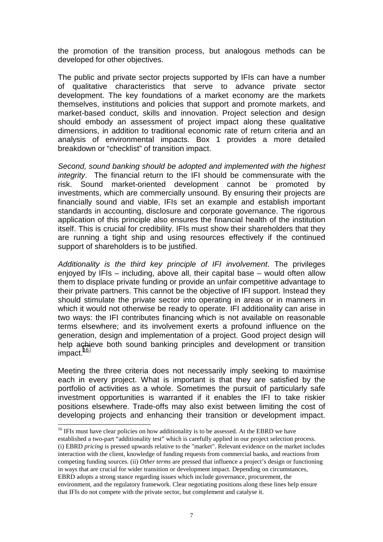the promotion of the transition process, but analogous methods can be developed for other objectives.

The public and private sector projects supported by IFIs can have a number of qualitative characteristics that serve to advance private sector development. The key foundations of a market economy are the markets themselves, institutions and policies that support and promote markets, and market-based conduct, skills and innovation. Project selection and design should embody an assessment of project impact along these qualitative dimensions, in addition to traditional economic rate of return criteria and an analysis of environmental impacts. Box 1 provides a more detailed breakdown or "checklist" of transition impact.

*Second, sound banking should be adopted and implemented with the highest integrity*. The financial return to the IFI should be commensurate with the risk. Sound market-oriented development cannot be promoted by investments, which are commercially unsound. By ensuring their projects are financially sound and viable, IFIs set an example and establish important standards in accounting, disclosure and corporate governance. The rigorous application of this principle also ensures the financial health of the institution itself. This is crucial for credibility. IFIs must show their shareholders that they are running a tight ship and using resources effectively if the continued support of shareholders is to be justified.

*Additionality is the third key principle of IFI involvement*. The privileges enjoyed by IFIs – including, above all, their capital base – would often allow them to displace private funding or provide an unfair competitive advantage to their private partners. This cannot be the objective of IFI support. Instead they should stimulate the private sector into operating in areas or in manners in which it would not otherwise be ready to operate. IFI additionality can arise in two ways: the IFI contributes financing which is not available on reasonable terms elsewhere; and its involvement exerts a profound influence on the generation, design and implementation of a project. Good project design will help achieve both sound banking principles and development or transition impact.<sup>16</sup>

Meeting the three criteria does not necessarily imply seeking to maximise each in every project. What is important is that they are satisfied by the portfolio of activities as a whole. Sometimes the pursuit of particularly safe investment opportunities is warranted if it enables the IFI to take riskier positions elsewhere. Trade-offs may also exist between limiting the cost of developing projects and enhancing their transition or development impact.

 $\overline{\phantom{a}}$ 

<sup>&</sup>lt;sup>16</sup> IFIs must have clear policies on how additionality is to be assessed. At the EBRD we have established a two-part "additionality test" which is carefully applied in our project selection process. (i) EBRD *pricing* is pressed upwards relative to the "market". Relevant evidence on the market includes interaction with the client, knowledge of funding requests from commercial banks, and reactions from competing funding sources. (ii) *Other terms* are pressed that influence a project's design or functioning in ways that are crucial for wider transition or development impact. Depending on circumstances, EBRD adopts a strong stance regarding issues which include governance, procurement, the environment, and the regulatory framework. Clear negotiating positions along these lines help ensure that IFIs do not compete with the private sector, but complement and catalyse it.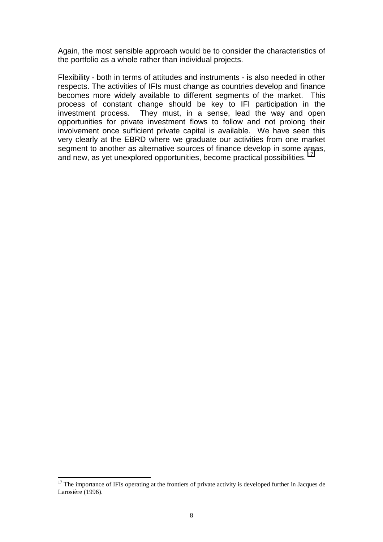Again, the most sensible approach would be to consider the characteristics of the portfolio as a whole rather than individual projects.

Flexibility - both in terms of attitudes and instruments - is also needed in other respects. The activities of IFIs must change as countries develop and finance becomes more widely available to different segments of the market. This process of constant change should be key to IFI participation in the investment process. They must, in a sense, lead the way and open opportunities for private investment flows to follow and not prolong their involvement once sufficient private capital is available. We have seen this very clearly at the EBRD where we graduate our activities from one market segment to another as alternative sources of finance develop in some areas, and new, as yet unexplored opportunities, become practical possibilities.<sup>17</sup>

 $17$  The importance of IFIs operating at the frontiers of private activity is developed further in Jacques de Larosière (1996).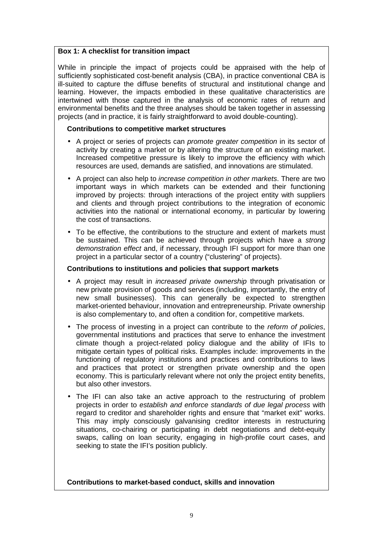#### **Box 1: A checklist for transition impact**

While in principle the impact of projects could be appraised with the help of sufficiently sophisticated cost-benefit analysis (CBA), in practice conventional CBA is ill-suited to capture the diffuse benefits of structural and institutional change and learning. However, the impacts embodied in these qualitative characteristics are intertwined with those captured in the analysis of economic rates of return and environmental benefits and the three analyses should be taken together in assessing projects (and in practice, it is fairly straightforward to avoid double-counting).

#### **Contributions to competitive market structures**

- A project or series of projects can *promote greater competition* in its sector of activity by creating a market or by altering the structure of an existing market. Increased competitive pressure is likely to improve the efficiency with which resources are used, demands are satisfied, and innovations are stimulated.
- A project can also help to *increase competition in other markets*. There are two important ways in which markets can be extended and their functioning improved by projects: through interactions of the project entity with suppliers and clients and through project contributions to the integration of economic activities into the national or international economy, in particular by lowering the cost of transactions.
- To be effective, the contributions to the structure and extent of markets must be sustained. This can be achieved through projects which have a *strong demonstration effect* and, if necessary, through IFI support for more than one project in a particular sector of a country ("clustering" of projects).

#### **Contributions to institutions and policies that support markets**

- A project may result in *increased private ownership* through privatisation or new private provision of goods and services (including, importantly, the entry of new small businesses). This can generally be expected to strengthen market-oriented behaviour, innovation and entrepreneurship. Private ownership is also complementary to, and often a condition for, competitive markets.
- The process of investing in a project can contribute to the *reform of policies*, governmental institutions and practices that serve to enhance the investment climate though a project-related policy dialogue and the ability of IFIs to mitigate certain types of political risks. Examples include: improvements in the functioning of regulatory institutions and practices and contributions to laws and practices that protect or strengthen private ownership and the open economy. This is particularly relevant where not only the project entity benefits, but also other investors.
- The IFI can also take an active approach to the restructuring of problem projects in order to *establish and enforce standards of due legal process* with regard to creditor and shareholder rights and ensure that "market exit" works. This may imply consciously galvanising creditor interests in restructuring situations, co-chairing or participating in debt negotiations and debt-equity swaps, calling on loan security, engaging in high-profile court cases, and seeking to state the IFI's position publicly.

# **Contributions to market-based conduct, skills and innovation**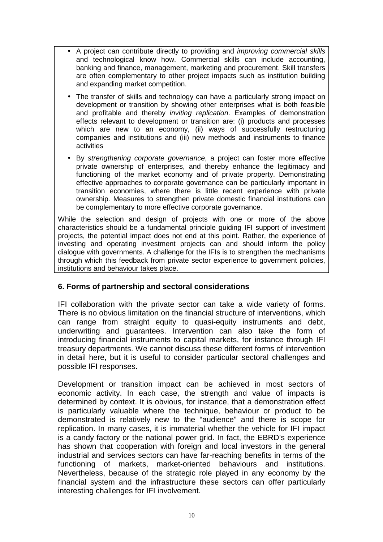- A project can contribute directly to providing and *improving commercial skills* and technological know how. Commercial skills can include accounting, banking and finance, management, marketing and procurement. Skill transfers are often complementary to other project impacts such as institution building and expanding market competition.
- The transfer of skills and technology can have a particularly strong impact on development or transition by showing other enterprises what is both feasible and profitable and thereby *inviting replication*. Examples of demonstration effects relevant to development or transition are: (i) products and processes which are new to an economy, (ii) ways of successfully restructuring companies and institutions and (iii) new methods and instruments to finance activities
- By *strengthening corporate governance*, a project can foster more effective private ownership of enterprises, and thereby enhance the legitimacy and functioning of the market economy and of private property. Demonstrating effective approaches to corporate governance can be particularly important in transition economies, where there is little recent experience with private ownership. Measures to strengthen private domestic financial institutions can be complementary to more effective corporate governance.

While the selection and design of projects with one or more of the above characteristics should be a fundamental principle guiding IFI support of investment projects, the potential impact does not end at this point. Rather, the experience of investing and operating investment projects can and should inform the policy dialogue with governments. A challenge for the IFIs is to strengthen the mechanisms through which this feedback from private sector experience to government policies, institutions and behaviour takes place.

# **6. Forms of partnership and sectoral considerations**

IFI collaboration with the private sector can take a wide variety of forms. There is no obvious limitation on the financial structure of interventions, which can range from straight equity to quasi-equity instruments and debt, underwriting and guarantees. Intervention can also take the form of introducing financial instruments to capital markets, for instance through IFI treasury departments. We cannot discuss these different forms of intervention in detail here, but it is useful to consider particular sectoral challenges and possible IFI responses.

Development or transition impact can be achieved in most sectors of economic activity. In each case, the strength and value of impacts is determined by context. It is obvious, for instance, that a demonstration effect is particularly valuable where the technique, behaviour or product to be demonstrated is relatively new to the "audience" and there is scope for replication. In many cases, it is immaterial whether the vehicle for IFI impact is a candy factory or the national power grid. In fact, the EBRD's experience has shown that cooperation with foreign and local investors in the general industrial and services sectors can have far-reaching benefits in terms of the functioning of markets, market-oriented behaviours and institutions. Nevertheless, because of the strategic role played in any economy by the financial system and the infrastructure these sectors can offer particularly interesting challenges for IFI involvement.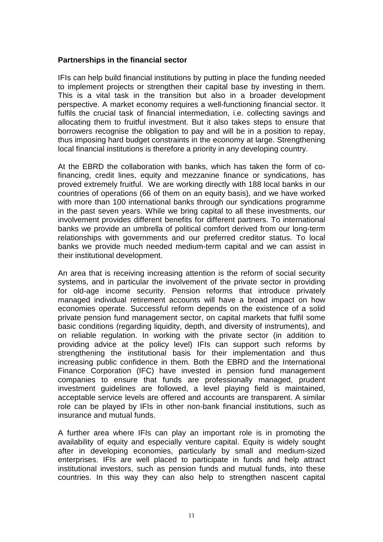### **Partnerships in the financial sector**

IFIs can help build financial institutions by putting in place the funding needed to implement projects or strengthen their capital base by investing in them. This is a vital task in the transition but also in a broader development perspective. A market economy requires a well-functioning financial sector. It fulfils the crucial task of financial intermediation, i.e. collecting savings and allocating them to fruitful investment. But it also takes steps to ensure that borrowers recognise the obligation to pay and will be in a position to repay, thus imposing hard budget constraints in the economy at large. Strengthening local financial institutions is therefore a priority in any developing country.

At the EBRD the collaboration with banks, which has taken the form of cofinancing, credit lines, equity and mezzanine finance or syndications, has proved extremely fruitful. We are working directly with 188 local banks in our countries of operations (66 of them on an equity basis), and we have worked with more than 100 international banks through our syndications programme in the past seven years. While we bring capital to all these investments, our involvement provides different benefits for different partners. To international banks we provide an umbrella of political comfort derived from our long-term relationships with governments and our preferred creditor status. To local banks we provide much needed medium-term capital and we can assist in their institutional development.

An area that is receiving increasing attention is the reform of social security systems, and in particular the involvement of the private sector in providing for old-age income security. Pension reforms that introduce privately managed individual retirement accounts will have a broad impact on how economies operate. Successful reform depends on the existence of a solid private pension fund management sector, on capital markets that fulfil some basic conditions (regarding liquidity, depth, and diversity of instruments), and on reliable regulation. In working with the private sector (in addition to providing advice at the policy level) IFIs can support such reforms by strengthening the institutional basis for their implementation and thus increasing public confidence in them. Both the EBRD and the International Finance Corporation (IFC) have invested in pension fund management companies to ensure that funds are professionally managed, prudent investment guidelines are followed, a level playing field is maintained, acceptable service levels are offered and accounts are transparent. A similar role can be played by IFIs in other non-bank financial institutions, such as insurance and mutual funds.

A further area where IFIs can play an important role is in promoting the availability of equity and especially venture capital. Equity is widely sought after in developing economies, particularly by small and medium-sized enterprises. IFIs are well placed to participate in funds and help attract institutional investors, such as pension funds and mutual funds, into these countries. In this way they can also help to strengthen nascent capital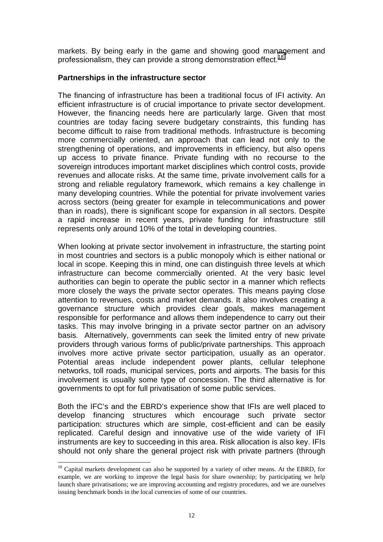markets. By being early in the game and showing good management and professionalism, they can provide a strong demonstration effect.<sup>18</sup>

# **Partnerships in the infrastructure sector**

The financing of infrastructure has been a traditional focus of IFI activity. An efficient infrastructure is of crucial importance to private sector development. However, the financing needs here are particularly large. Given that most countries are today facing severe budgetary constraints, this funding has become difficult to raise from traditional methods. Infrastructure is becoming more commercially oriented, an approach that can lead not only to the strengthening of operations, and improvements in efficiency, but also opens up access to private finance. Private funding with no recourse to the sovereign introduces important market disciplines which control costs, provide revenues and allocate risks. At the same time, private involvement calls for a strong and reliable regulatory framework, which remains a key challenge in many developing countries. While the potential for private involvement varies across sectors (being greater for example in telecommunications and power than in roads), there is significant scope for expansion in all sectors. Despite a rapid increase in recent years, private funding for infrastructure still represents only around 10% of the total in developing countries.

When looking at private sector involvement in infrastructure, the starting point in most countries and sectors is a public monopoly which is either national or local in scope. Keeping this in mind, one can distinguish three levels at which infrastructure can become commercially oriented. At the very basic level authorities can begin to operate the public sector in a manner which reflects more closely the ways the private sector operates. This means paying close attention to revenues, costs and market demands. It also involves creating a governance structure which provides clear goals, makes management responsible for performance and allows them independence to carry out their tasks. This may involve bringing in a private sector partner on an advisory basis. Alternatively, governments can seek the limited entry of new private providers through various forms of public/private partnerships. This approach involves more active private sector participation, usually as an operator. Potential areas include independent power plants, cellular telephone networks, toll roads, municipal services, ports and airports. The basis for this involvement is usually some type of concession. The third alternative is for governments to opt for full privatisation of some public services.

Both the IFC's and the EBRD's experience show that IFIs are well placed to develop financing structures which encourage such private sector participation: structures which are simple, cost-efficient and can be easily replicated. Careful design and innovative use of the wide variety of IFI instruments are key to succeeding in this area. Risk allocation is also key. IFIs should not only share the general project risk with private partners (through

 $\overline{\phantom{a}}$ 

<sup>&</sup>lt;sup>18</sup> Capital markets development can also be supported by a variety of other means. At the EBRD, for example, we are working to improve the legal basis for share ownership; by participating we help launch share privatisations; we are improving accounting and registry procedures, and we are ourselves issuing benchmark bonds in the local currencies of some of our countries.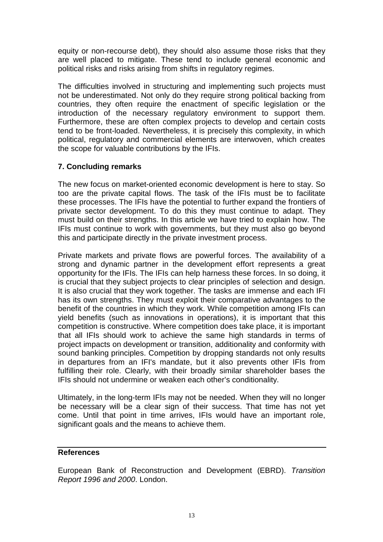equity or non-recourse debt), they should also assume those risks that they are well placed to mitigate. These tend to include general economic and political risks and risks arising from shifts in regulatory regimes.

The difficulties involved in structuring and implementing such projects must not be underestimated. Not only do they require strong political backing from countries, they often require the enactment of specific legislation or the introduction of the necessary regulatory environment to support them. Furthermore, these are often complex projects to develop and certain costs tend to be front-loaded. Nevertheless, it is precisely this complexity, in which political, regulatory and commercial elements are interwoven, which creates the scope for valuable contributions by the IFIs.

# **7. Concluding remarks**

The new focus on market-oriented economic development is here to stay. So too are the private capital flows. The task of the IFIs must be to facilitate these processes. The IFIs have the potential to further expand the frontiers of private sector development. To do this they must continue to adapt. They must build on their strengths. In this article we have tried to explain how. The IFIs must continue to work with governments, but they must also go beyond this and participate directly in the private investment process.

Private markets and private flows are powerful forces. The availability of a strong and dynamic partner in the development effort represents a great opportunity for the IFIs. The IFIs can help harness these forces. In so doing, it is crucial that they subject projects to clear principles of selection and design. It is also crucial that they work together. The tasks are immense and each IFI has its own strengths. They must exploit their comparative advantages to the benefit of the countries in which they work. While competition among IFIs can yield benefits (such as innovations in operations), it is important that this competition is constructive. Where competition does take place, it is important that all IFIs should work to achieve the same high standards in terms of project impacts on development or transition, additionality and conformity with sound banking principles. Competition by dropping standards not only results in departures from an IFI's mandate, but it also prevents other IFIs from fulfilling their role. Clearly, with their broadly similar shareholder bases the IFIs should not undermine or weaken each other's conditionality.

Ultimately, in the long-term IFIs may not be needed. When they will no longer be necessary will be a clear sign of their success. That time has not yet come. Until that point in time arrives, IFIs would have an important role, significant goals and the means to achieve them.

#### **References**

European Bank of Reconstruction and Development (EBRD). *Transition Report 1996 and 2000*. London.